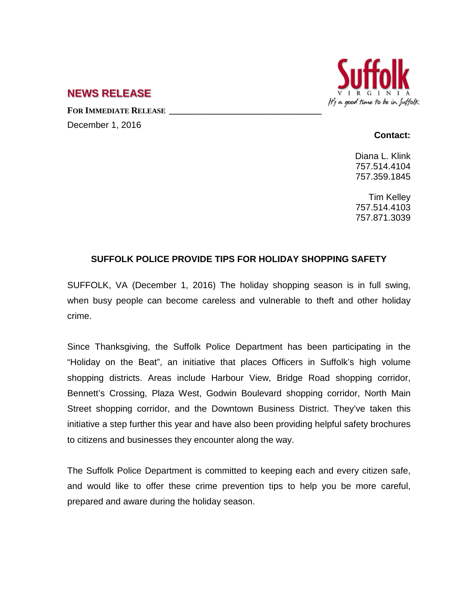

# **NEWS RELEASE**

**FOR IMMEDIATE RELEASE \_\_\_\_\_\_\_\_\_\_\_\_\_\_\_\_\_\_\_\_\_\_\_\_\_\_\_\_\_\_\_\_\_\_**

December 1, 2016

#### **Contact:**

Diana L. Klink 757.514.4104 757.359.1845

Tim Kelley 757.514.4103 757.871.3039

## **SUFFOLK POLICE PROVIDE TIPS FOR HOLIDAY SHOPPING SAFETY**

SUFFOLK, VA (December 1, 2016) The holiday shopping season is in full swing, when busy people can become careless and vulnerable to theft and other holiday crime.

Since Thanksgiving, the Suffolk Police Department has been participating in the "Holiday on the Beat", an initiative that places Officers in Suffolk's high volume shopping districts. Areas include Harbour View, Bridge Road shopping corridor, Bennett's Crossing, Plaza West, Godwin Boulevard shopping corridor, North Main Street shopping corridor, and the Downtown Business District. They've taken this initiative a step further this year and have also been providing helpful safety brochures to citizens and businesses they encounter along the way.

The Suffolk Police Department is committed to keeping each and every citizen safe, and would like to offer these crime prevention tips to help you be more careful, prepared and aware during the holiday season.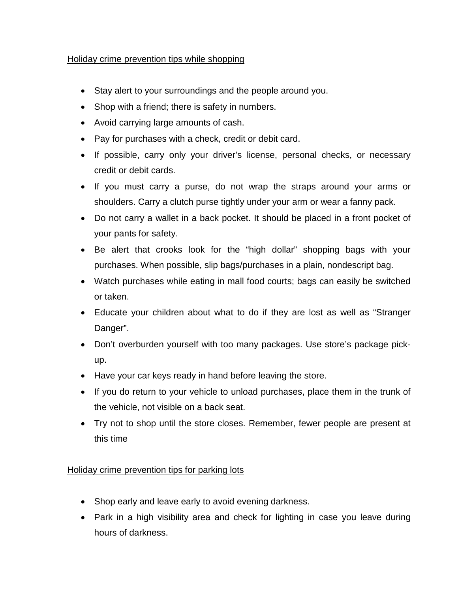## Holiday crime prevention tips while shopping

- Stay alert to your surroundings and the people around you.
- Shop with a friend; there is safety in numbers.
- Avoid carrying large amounts of cash.
- Pay for purchases with a check, credit or debit card.
- If possible, carry only your driver's license, personal checks, or necessary credit or debit cards.
- If you must carry a purse, do not wrap the straps around your arms or shoulders. Carry a clutch purse tightly under your arm or wear a fanny pack.
- Do not carry a wallet in a back pocket. It should be placed in a front pocket of your pants for safety.
- Be alert that crooks look for the "high dollar" shopping bags with your purchases. When possible, slip bags/purchases in a plain, nondescript bag.
- Watch purchases while eating in mall food courts; bags can easily be switched or taken.
- Educate your children about what to do if they are lost as well as "Stranger Danger".
- Don't overburden yourself with too many packages. Use store's package pickup.
- Have your car keys ready in hand before leaving the store.
- If you do return to your vehicle to unload purchases, place them in the trunk of the vehicle, not visible on a back seat.
- Try not to shop until the store closes. Remember, fewer people are present at this time

# Holiday crime prevention tips for parking lots

- Shop early and leave early to avoid evening darkness.
- Park in a high visibility area and check for lighting in case you leave during hours of darkness.